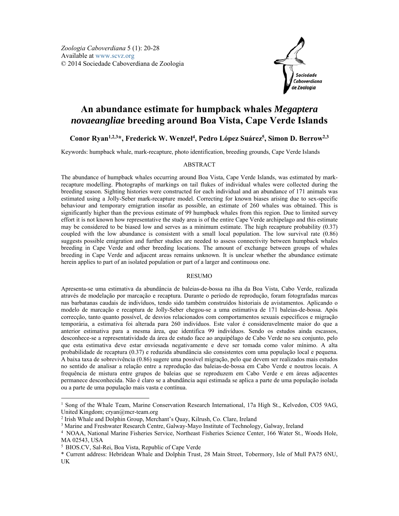

# **An abundance estimate for humpback whales** *Megaptera novaeangliae* **breeding around Boa Vista, Cape Verde Islands**

# **Conor Ryan1,2,<sup>3</sup> \*, Frederick W. Wenzel4 , Pedro López Suárez5 , Simon D. Berrow2,3**

Keywords: humpback whale, mark-recapture, photo identification, breeding grounds, Cape Verde Islands

## ABSTRACT

The abundance of humpback whales occurring around Boa Vista, Cape Verde Islands, was estimated by markrecapture modelling. Photographs of markings on tail flukes of individual whales were collected during the breeding season. Sighting histories were constructed for each individual and an abundance of 171 animals was estimated using a Jolly-Seber mark-recapture model. Correcting for known biases arising due to sex-specific behaviour and temporary emigration insofar as possible, an estimate of 260 whales was obtained. This is significantly higher than the previous estimate of 99 humpback whales from this region. Due to limited survey effort it is not known how representative the study area is of the entire Cape Verde archipelago and this estimate may be considered to be biased low and serves as a minimum estimate. The high recapture probability (0.37) coupled with the low abundance is consistent with a small local population. The low survival rate (0.86) suggests possible emigration and further studies are needed to assess connectivity between humpback whales breeding in Cape Verde and other breeding locations. The amount of exchange between groups of whales breeding in Cape Verde and adjacent areas remains unknown. It is unclear whether the abundance estimate herein applies to part of an isolated population or part of a larger and continuous one.

# RESUMO

Apresenta-se uma estimativa da abundância de baleias-de-bossa na ilha da Boa Vista, Cabo Verde, realizada através de modelação por marcação e recaptura. Durante o período de reprodução, foram fotografadas marcas nas barbatanas caudais de indivíduos, tendo sido também construídos historiais de avistamentos. Aplicando o modelo de marcação e recaptura de Jolly-Seber chegou-se a uma estimativa de 171 baleias-de-bossa. Após correcção, tanto quanto possível, de desvios relacionados com comportamentos sexuais específicos e migração temporária, a estimativa foi alterada para 260 indivíduos. Este valor é consideravelmente maior do que a anterior estimativa para a mesma área, que identifica 99 indivíduos. Sendo os estudos ainda escassos, desconhece-se a representatividade da área de estudo face ao arquipélago de Cabo Verde no seu conjunto, pelo que esta estimativa deve estar enviesada negativamente e deve ser tomada como valor mínimo. A alta probabilidade de recaptura (0.37) e reduzida abundância são consistentes com uma população local e pequena. A baixa taxa de sobrevivência (0.86) sugere uma possível migração, pelo que devem ser realizados mais estudos no sentido de analisar a relação entre a reprodução das baleias-de-bossa em Cabo Verde e noutros locais. A frequência de mistura entre grupos de baleias que se reproduzem em Cabo Verde e em áreas adjacentes permanece desconhecida. Não é claro se a abundância aqui estimada se aplica a parte de uma população isolada ou a parte de uma população mais vasta e contínua.

<sup>&</sup>lt;sup>1</sup> Song of the Whale Team, Marine Conservation Research International, 17a High St., Kelvedon, CO5 9AG, United Kingdom; cryan@mcr-team.org

<sup>&</sup>lt;sup>2</sup> Irish Whale and Dolphin Group, Merchant's Quay, Kilrush, Co. Clare, Ireland  $\frac{3}{3}$  Marine and Freshwater Research Centre, Galway, Mayo Institute of Technology

<sup>&</sup>lt;sup>3</sup> Marine and Freshwater Research Centre, Galway-Mayo Institute of Technology, Galway, Ireland <sup>4</sup> NOAA, National Marine Fisheries Service, Northeast Fisheries Science Center, 166 Water St., Woods Hole, MA 02543, USA

<sup>5</sup> BIOS.CV, Sal-Rei, Boa Vista, Republic of Cape Verde

<sup>\*</sup> Current address: Hebridean Whale and Dolphin Trust, 28 Main Street, Tobermory, Isle of Mull PA75 6NU, UK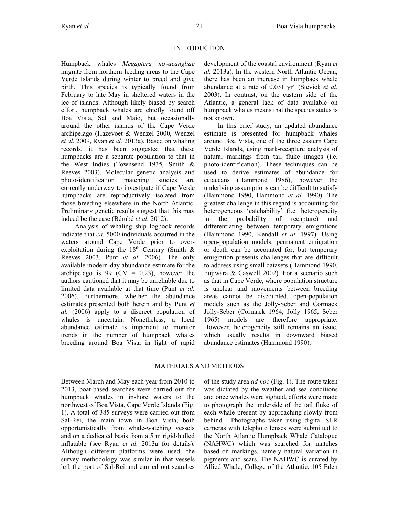INTRODUCTION

Humpback whales *Megaptera novaeangliae* migrate from northern feeding areas to the Cape Verde Islands during winter to breed and give birth. This species is typically found from February to late May in sheltered waters in the lee of islands. Although likely biased by search effort, humpback whales are chiefly found off Boa Vista, Sal and Maio, but occasionally around the other islands of the Cape Verde archipelago (Hazevoet & Wenzel 2000, Wenzel *et al.* 2009, Ryan *et al.* 2013a). Based on whaling records, it has been suggested that these humpbacks are a separate population to that in the West Indies (Townsend 1935, Smith & Reeves 2003). Molecular genetic analysis and photo-identification matching studies are currently underway to investigate if Cape Verde humpbacks are reproductively isolated from those breeding elsewhere in the North Atlantic. Preliminary genetic results suggest that this may indeed be the case (Bérubé *et al.* 2012).

Analysis of whaling ship logbook records indicate that *ca.* 5000 individuals occurred in the waters around Cape Verde prior to overexploitation during the  $18<sup>th</sup>$  Century (Smith & Reeves 2003, Punt *et al.* 2006). The only available modern-day abundance estimate for the archipelago is 99 ( $CV = 0.23$ ), however the authors cautioned that it may be unreliable due to limited data available at that time (Punt *et al.* 2006). Furthermore, whether the abundance estimates presented both herein and by Punt *et al.* (2006) apply to a discreet population of whales is uncertain. Nonetheless, a local abundance estimate is important to monitor trends in the number of humpback whales breeding around Boa Vista in light of rapid

development of the coastal environment (Ryan *et al.* 2013a). In the western North Atlantic Ocean, there has been an increase in humpback whale abundance at a rate of 0.031 yr-1 (Stevick *et al.* 2003). In contrast, on the eastern side of the Atlantic, a general lack of data available on humpback whales means that the species status is not known.

In this brief study, an updated abundance estimate is presented for humpback whales around Boa Vista, one of the three eastern Cape Verde Islands, using mark-recapture analysis of natural markings from tail fluke images (i.e. photo-identification). These techniques can be used to derive estimates of abundance for cetaceans (Hammond 1986), however the underlying assumptions can be difficult to satisfy (Hammond 1990, Hammond *et al.* 1990). The greatest challenge in this regard is accounting for heterogeneous 'catchability' (i.e. heterogeneity in the probability of recapture) and differentiating between temporary emigrations (Hammond 1990, Kendall *et al.* 1997). Using open-population models, permanent emigration or death can be accounted for, but temporary emigration presents challenges that are difficult to address using small datasets (Hammond 1990, Fujiwara & Caswell 2002). For a scenario such as that in Cape Verde, where population structure is unclear and movements between breeding areas cannot be discounted, open-population models such as the Jolly-Seber and Cormack Jolly-Seber (Cormack 1964, Jolly 1965, Seber 1965) models are therefore appropriate. However, heterogeneity still remains an issue, which usually results in downward biased abundance estimates (Hammond 1990).

# MATERIALS AND METHODS

Between March and May each year from 2010 to 2013, boat-based searches were carried out for humpback whales in inshore waters to the northwest of Boa Vista, Cape Verde Islands (Fig. 1). A total of 385 surveys were carried out from Sal-Rei, the main town in Boa Vista, both opportunistically from whale-watching vessels and on a dedicated basis from a 5 m rigid-hulled inflatable (see Ryan *et al.* 2013a for details). Although different platforms were used, the survey methodology was similar in that vessels left the port of Sal-Rei and carried out searches of the study area *ad hoc* (Fig. 1). The route taken was dictated by the weather and sea conditions and once whales were sighted, efforts were made to photograph the underside of the tail fluke of each whale present by approaching slowly from behind. Photographs taken using digital SLR cameras with telephoto lenses were submitted to the North Atlantic Humpback Whale Catalogue (NAHWC) which was searched for matches based on markings, namely natural variation in pigments and scars. The NAHWC is curated by Allied Whale, College of the Atlantic, 105 Eden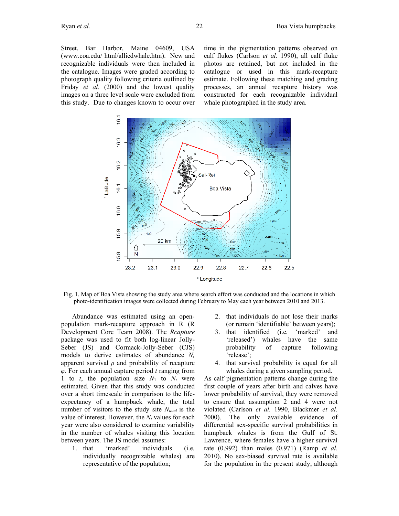Street, Bar Harbor, Maine 04609, USA (www.coa.edu/ html/alliedwhale.htm). New and recognizable individuals were then included in the catalogue. Images were graded according to photograph quality following criteria outlined by Friday *et al.* (2000) and the lowest quality images on a three level scale were excluded from this study. Due to changes known to occur over time in the pigmentation patterns observed on calf flukes (Carlson *et al.* 1990), all calf fluke photos are retained, but not included in the catalogue or used in this mark-recapture estimate. Following these matching and grading processes, an annual recapture history was constructed for each recognizable individual whale photographed in the study area.



Fig. 1. Map of Boa Vista showing the study area where search effort was conducted and the locations in which photo-identification images were collected during February to May each year between 2010 and 2013.

Abundance was estimated using an openpopulation mark-recapture approach in R (R Development Core Team 2008). The *Rcapture* package was used to fit both log-linear Jolly-Seber (JS) and Cormack-Jolly-Seber (CJS) models to derive estimates of abundance *N,* apparent survival *ρ* and probability of recapture *φ*. For each annual capture period *t* ranging from 1 to  $t$ , the population size  $N_1$  to  $N_t$  were estimated. Given that this study was conducted over a short timescale in comparison to the lifeexpectancy of a humpback whale, the total number of visitors to the study site  $N_{total}$  is the value of interest. However, the  $N_t$  values for each year were also considered to examine variability in the number of whales visiting this location between years. The JS model assumes:

1. that 'marked' individuals (i.e*.* individually recognizable whales) are representative of the population;

- 2. that individuals do not lose their marks (or remain 'identifiable' between years);
- 3. that identified (i.e*.* 'marked' and 'released') whales have the same probability of capture following 'release';
- 4. that survival probability is equal for all whales during a given sampling period.

As calf pigmentation patterns change during the first couple of years after birth and calves have lower probability of survival, they were removed to ensure that assumption 2 and 4 were not violated (Carlson *et al.* 1990, Blackmer *et al.* 2000). The only available evidence of differential sex-specific survival probabilities in humpback whales is from the Gulf of St. Lawrence, where females have a higher survival rate (0.992) than males (0.971) (Ramp *et al.* 2010). No sex-biased survival rate is available for the population in the present study, although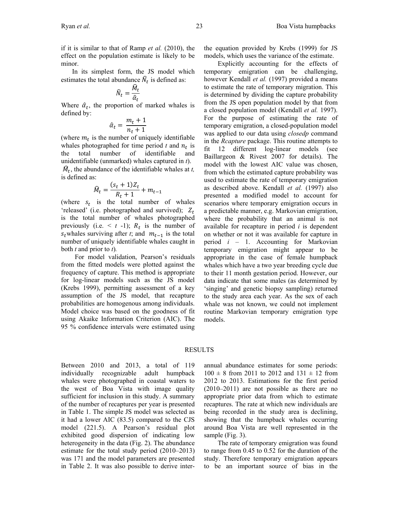In its simplest form, the JS model which estimates the total abundance  $\hat{N}_t$  is defined as:

$$
\widehat{N}_t = \frac{\widehat{M}_t}{\widehat{\alpha}_t}
$$

Where  $\hat{a}_t$ , the proportion of marked whales is defined by:

$$
\hat{\alpha}_t = \frac{m_t + 1}{n_t + 1}
$$

(where  $m_t$  is the number of uniquely identifiable whales photographed for time period  $t$  and  $n_t$  is<br>the total number of identifiable and of identifiable unidentifiable (unmarked) whales captured in *t*).

$$
\hat{M}_t
$$
, the abundance of the identifiable values at *t*, is defined as:

$$
\widehat{M}_t = \frac{(s_t + 1)Z_t}{R_t + 1} + m_{t-1}
$$

(where  $s_t$  is the total number of whales 'released' (i.e. photographed and survived);  $Z_t$ is the total number of whales photographed previously (i.e.  $\leq t$  -1);  $R_t$  is the number of  $s_t$ whales surviving after *t*; and  $m_{t-1}$  is the total number of uniquely identifiable whales caught in both *t* and prior to *t*)*.* 

For model validation, Pearson's residuals from the fitted models were plotted against the frequency of capture. This method is appropriate for log-linear models such as the JS model (Krebs 1999), permitting assessment of a key assumption of the JS model, that recapture probabilities are homogenous among individuals. Model choice was based on the goodness of fit using Akaike Information Criterion (AIC). The 95 % confidence intervals were estimated using

Explicitly accounting for the effects of temporary emigration can be challenging, however Kendall *et al.* (1997) provided a means to estimate the rate of temporary migration. This is determined by dividing the capture probability from the JS open population model by that from a closed population model (Kendall *et al.* 1997). For the purpose of estimating the rate of temporary emigration, a closed-population model was applied to our data using *closedp* command in the *Rcapture* package. This routine attempts to fit 12 different log-linear models (see Baillargeon & Rivest 2007 for details). The model with the lowest AIC value was chosen, from which the estimated capture probability was used to estimate the rate of temporary emigration as described above. Kendall *et al.* (1997) also presented a modified model to account for scenarios where temporary emigration occurs in a predictable manner, e.g. Markovian emigration, where the probability that an animal is not available for recapture in period *i* is dependent on whether or not it was available for capture in period *i* – 1. Accounting for Markovian temporary emigration might appear to be appropriate in the case of female humpback whales which have a two year breeding cycle due to their 11 month gestation period. However, our data indicate that some males (as determined by 'singing' and genetic biopsy sampling) returned to the study area each year. As the sex of each whale was not known, we could not implement routine Markovian temporary emigration type models.

### RESULTS

Between 2010 and 2013, a total of 119 individually recognizable adult humpback whales were photographed in coastal waters to the west of Boa Vista with image quality sufficient for inclusion in this study. A summary of the number of recaptures per year is presented in Table 1. The simple JS model was selected as it had a lower AIC (83.5) compared to the CJS model (221.5). A Pearson's residual plot exhibited good dispersion of indicating low heterogeneity in the data (Fig. 2). The abundance estimate for the total study period (2010–2013) was 171 and the model parameters are presented in Table 2. It was also possible to derive interannual abundance estimates for some periods:  $100 \pm 8$  from 2011 to 2012 and 131  $\pm$  12 from 2012 to 2013. Estimations for the first period (2010–2011) are not possible as there are no appropriate prior data from which to estimate recaptures. The rate at which new individuals are being recorded in the study area is declining, showing that the humpback whales occurring around Boa Vista are well represented in the sample (Fig. 3).

The rate of temporary emigration was found to range from 0.45 to 0.52 for the duration of the study. Therefore temporary emigration appears to be an important source of bias in the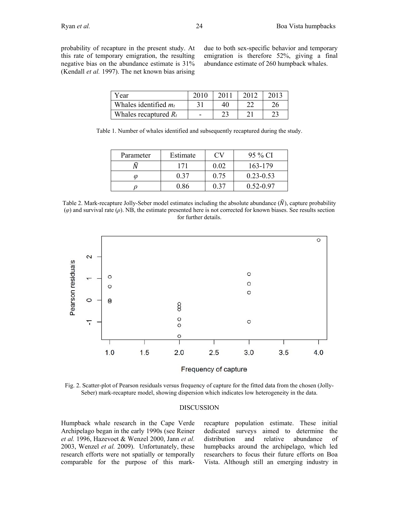due to both sex-specific behavior and temporary emigration is therefore 52%, giving a final abundance estimate of 260 humpback whales.

| Year                    | 2011 | 2012 | 2013 |
|-------------------------|------|------|------|
| Whales identified $m_t$ | 40   |      |      |
| Whales recaptured $R_t$ | າາ   |      |      |

Table 1. Number of whales identified and subsequently recaptured during the study.

| Parameter | Estimate |      | 95 % CI       |
|-----------|----------|------|---------------|
|           | 171      | 0.02 | 163-179       |
| M         | 0.37     | 0.75 | $0.23 - 0.53$ |
|           | 0.86     |      | $0.52 - 0.97$ |

Table 2. Mark-recapture Jolly-Seber model estimates including the absolute abundance  $(\hat{N})$ , capture probability (*φ*) and survival rate (*ρ*). NB, the estimate presented here is not corrected for known biases. See results section for further details.



Frequency of capture

Fig. 2. Scatter-plot of Pearson residuals versus frequency of capture for the fitted data from the chosen (Jolly-Seber) mark-recapture model, showing dispersion which indicates low heterogeneity in the data.

#### DISCUSSION

Humpback whale research in the Cape Verde Archipelago began in the early 1990s (see Reiner *et al.* 1996, Hazevoet & Wenzel 2000, Jann *et al.* 2003, Wenzel *et al.* 2009). Unfortunately, these research efforts were not spatially or temporally comparable for the purpose of this markrecapture population estimate. These initial dedicated surveys aimed to determine the distribution and relative abundance of humpbacks around the archipelago, which led researchers to focus their future efforts on Boa Vista. Although still an emerging industry in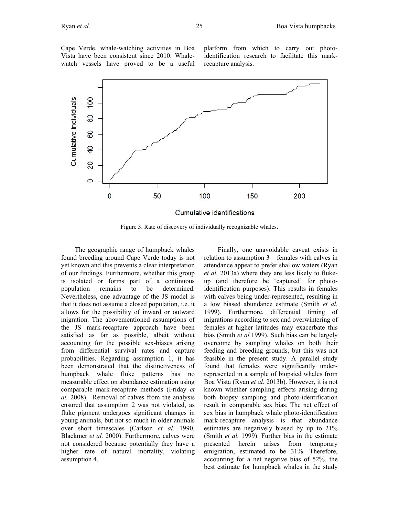Cape Verde, whale-watching activities in Boa Vista have been consistent since 2010. Whalewatch vessels have proved to be a useful platform from which to carry out photoidentification research to facilitate this markrecapture analysis.



Figure 3. Rate of discovery of individually recognizable whales.

The geographic range of humpback whales found breeding around Cape Verde today is not yet known and this prevents a clear interpretation of our findings. Furthermore, whether this group is isolated or forms part of a continuous population remains to be determined. Nevertheless, one advantage of the JS model is that it does not assume a closed population, i.e. it allows for the possibility of inward or outward migration. The abovementioned assumptions of the JS mark-recapture approach have been satisfied as far as possible, albeit without accounting for the possible sex-biases arising from differential survival rates and capture probabilities. Regarding assumption 1, it has been demonstrated that the distinctiveness of humpback whale fluke patterns has no measurable effect on abundance estimation using comparable mark-recapture methods (Friday *et al.* 2008). Removal of calves from the analysis ensured that assumption 2 was not violated, as fluke pigment undergoes significant changes in young animals, but not so much in older animals over short timescales (Carlson *et al.* 1990, Blackmer *et al.* 2000). Furthermore, calves were not considered because potentially they have a higher rate of natural mortality, violating assumption 4.

Finally, one unavoidable caveat exists in relation to assumption 3 – females with calves in attendance appear to prefer shallow waters (Ryan *et al.* 2013a) where they are less likely to flukeup (and therefore be 'captured' for photoidentification purposes). This results in females with calves being under-represented, resulting in a low biased abundance estimate (Smith *et al.*  1999). Furthermore, differential timing of migrations according to sex and overwintering of females at higher latitudes may exacerbate this bias (Smith *et al.*1999). Such bias can be largely overcome by sampling whales on both their feeding and breeding grounds, but this was not feasible in the present study. A parallel study found that females were significantly underrepresented in a sample of biopsied whales from Boa Vista (Ryan *et al.* 2013b). However, it is not known whether sampling effects arising during both biopsy sampling and photo-identification result in comparable sex bias. The net effect of sex bias in humpback whale photo-identification mark-recapture analysis is that abundance estimates are negatively biased by up to 21% (Smith *et al.* 1999). Further bias in the estimate presented herein arises from temporary emigration, estimated to be 31%. Therefore, accounting for a net negative bias of 52%, the best estimate for humpback whales in the study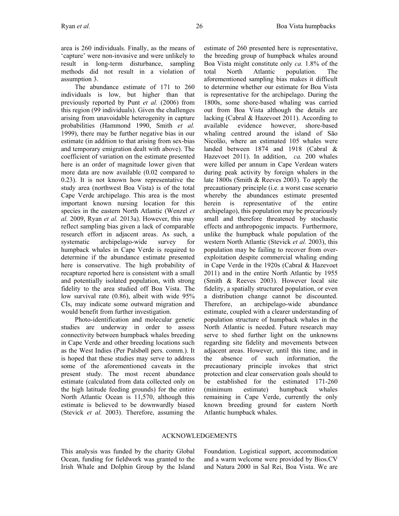area is 260 individuals. Finally, as the means of 'capture' were non-invasive and were unlikely to result in long-term disturbance, sampling methods did not result in a violation of assumption 3.

The abundance estimate of 171 to 260 individuals is low, but higher than that previously reported by Punt *et al.* (2006) from this region (99 individuals). Given the challenges arising from unavoidable heterogenity in capture probabilities (Hammond 1990, Smith *et al.* 1999), there may be further negative bias in our estimate (in addition to that arising from sex-bias and temporary emigration dealt with above). The coefficient of variation on the estimate presented here is an order of magnitude lower given that more data are now available (0.02 compared to 0.23). It is not known how representative the study area (northwest Boa Vista) is of the total Cape Verde archipelago. This area is the most important known nursing location for this species in the eastern North Atlantic (Wenzel *et al.* 2009, Ryan *et al.* 2013a). However, this may reflect sampling bias given a lack of comparable research effort in adjacent areas. As such, a systematic archipelago-wide survey for humpback whales in Cape Verde is required to determine if the abundance estimate presented here is conservative. The high probability of recapture reported here is consistent with a small and potentially isolated population, with strong fidelity to the area studied off Boa Vista. The low survival rate (0.86), albeit with wide 95% CIs, may indicate some outward migration and would benefit from further investigation.

Photo-identification and molecular genetic studies are underway in order to assess connectivity between humpback whales breeding in Cape Verde and other breeding locations such as the West Indies (Per Palsbøll pers. comm.). It is hoped that these studies may serve to address some of the aforementioned caveats in the present study. The most recent abundance estimate (calculated from data collected only on the high latitude feeding grounds) for the entire North Atlantic Ocean is 11,570, although this estimate is believed to be downwardly biased (Stevick *et al.* 2003). Therefore, assuming the estimate of 260 presented here is representative, the breeding group of humpback whales around Boa Vista might constitute only *ca.* 1.8% of the total North Atlantic population. The aforementioned sampling bias makes it difficult to determine whether our estimate for Boa Vista is representative for the archipelago. During the 1800s, some shore-based whaling was carried out from Boa Vista although the details are lacking (Cabral & Hazevoet 2011). According to available evidence however, shore-based whaling centred around the island of São Nicolão, where an estimated 105 whales were landed between 1874 and 1918 (Cabral & Hazevoet 2011). In addition, *ca.* 200 whales were killed per annum in Cape Verdean waters during peak activity by foreign whalers in the late 1800s (Smith & Reeves 2003). To apply the precautionary principle (i.e. a worst case scenario whereby the abundances estimate presented herein is representative of the entire archipelago), this population may be precariously small and therefore threatened by stochastic effects and anthropogenic impacts. Furthermore, unlike the humpback whale population of the western North Atlantic (Stevick *et al.* 2003), this population may be failing to recover from overexploitation despite commercial whaling ending in Cape Verde in the 1920s (Cabral & Hazevoet 2011) and in the entire North Atlantic by 1955 (Smith & Reeves 2003). However local site fidelity, a spatially structured population, or even a distribution change cannot be discounted. Therefore, an archipelago-wide abundance estimate, coupled with a clearer understanding of population structure of humpback whales in the North Atlantic is needed. Future research may serve to shed further light on the unknowns regarding site fidelity and movements between adjacent areas. However, until this time, and in the absence of such information, the precautionary principle invokes that strict protection and clear conservation goals should to be established for the estimated 171-260 (minimum estimate) humpback whales remaining in Cape Verde, currently the only known breeding ground for eastern North Atlantic humpback whales.

# ACKNOWLEDGEMENTS

This analysis was funded by the charity Global Ocean, funding for fieldwork was granted to the Irish Whale and Dolphin Group by the Island Foundation. Logistical support, accommodation and a warm welcome were provided by Bios.CV and Natura 2000 in Sal Rei, Boa Vista. We are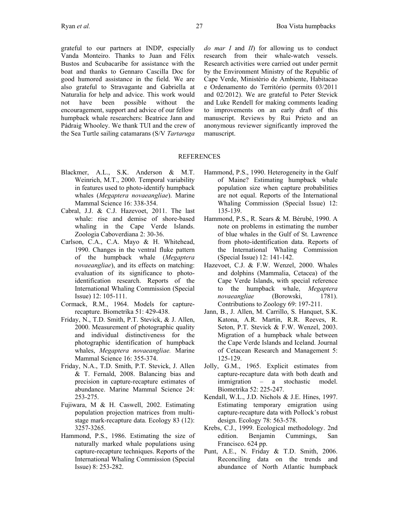grateful to our partners at INDP, especially Vanda Monteiro. Thanks to Juan and Félix Bustos and Scubacaribe for assistance with the boat and thanks to Gennaro Cascilla Doc for good humored assistance in the field. We are also grateful to Stravagante and Gabriella at Naturalia for help and advice. This work would not have been possible without the encouragement, support and advice of our fellow humpback whale researchers: Beatrice Jann and Pádraig Whooley. We thank TUI and the crew of the Sea Turtle sailing catamarans (S/V *Tartaruga*  *do mar I* and *II*) for allowing us to conduct research from their whale-watch vessels. Research activities were carried out under permit by the Environment Ministry of the Republic of Cape Verde, Ministério de Ambiente, Habitacao e Ordenamento do Território (permits 03/2011 and 02/2012). We are grateful to Peter Stevick and Luke Rendell for making comments leading to improvements on an early draft of this manuscript. Reviews by Rui Prieto and an anonymous reviewer significantly improved the manuscript.

#### REFERENCES

- Blackmer, A.L., S.K. Anderson & M.T. Weinrich, M.T., 2000. Temporal variability in features used to photo-identify humpback whales (*Megaptera novaeangliae*). Marine Mammal Science 16: 338-354.
- Cabral, J.J. & C.J. Hazevoet, 2011. The last whale: rise and demise of shore-based whaling in the Cape Verde Islands. Zoologia Caboverdiana 2: 30-36.
- Carlson, C.A., C.A. Mayo & H. Whitehead, 1990. Changes in the ventral fluke pattern of the humpback whale (*Megaptera novaeangliae*), and its effects on matching: evaluation of its significance to photoidentification research. Reports of the International Whaling Commission (Special Issue) 12: 105-111.
- Cormack, R.M., 1964. Models for capturerecapture. Biometrika 51: 429-438.
- Friday, N., T.D. Smith, P.T. Stevick, & J. Allen, 2000. Measurement of photographic quality and individual distinctiveness for the photographic identification of humpback whales, *Megaptera novaeangliae.* Marine Mammal Science 16: 355-374.
- Friday, N.A., T.D. Smith, P.T. Stevick, J. Allen & T. Fernald, 2008. Balancing bias and precision in capture-recapture estimates of abundance. Marine Mammal Science 24: 253-275.
- Fujiwara, M & H. Caswell, 2002. Estimating population projection matrices from multistage mark-recapture data. Ecology 83 (12): 3257-3265.
- Hammond, P.S., 1986. Estimating the size of naturally marked whale populations using capture-recapture techniques. Reports of the International Whaling Commission (Special Issue) 8: 253-282.
- Hammond, P.S., 1990. Heterogeneity in the Gulf of Maine? Estimating humpback whale population size when capture probabilities are not equal. Reports of the International Whaling Commission (Special Issue) 12: 135-139.
- Hammond, P.S., R. Sears & M. Bérubé, 1990. A note on problems in estimating the number of blue whales in the Gulf of St. Lawrence from photo-identification data. Reports of the International Whaling Commission (Special Issue) 12: 141-142.
- Hazevoet, C.J. & F.W. Wenzel, 2000. Whales and dolphins (Mammalia, Cetacea) of the Cape Verde Islands, with special reference to the humpback whale, *Megaptera novaeangliae* (Borowski, 1781). Contributions to Zoology 69: 197-211.
- Jann, B., J. Allen, M. Carrillo, S. Hanquet, S.K. Katona, A.R. Martin, R.R. Reeves, R. Seton, P.T. Stevick & F.W. Wenzel, 2003. Migration of a humpback whale between the Cape Verde Islands and Iceland. Journal of Cetacean Research and Management 5: 125-129.
- Jolly, G.M., 1965. Explicit estimates from capture-recapture data with both death and immigration – a stochastic model. Biometrika 52: 225-247.
- Kendall, W.L., J.D. Nichols & J.E. Hines, 1997. Estimating temporary emigration using capture-recapture data with Pollock's robust design. Ecology 78: 563-578.
- Krebs, C.J., 1999. Ecological methodology. 2nd edition. Benjamin Cummings, San Francisco. 624 pp.
- Punt, A.E., N. Friday & T.D. Smith, 2006. Reconciling data on the trends and abundance of North Atlantic humpback